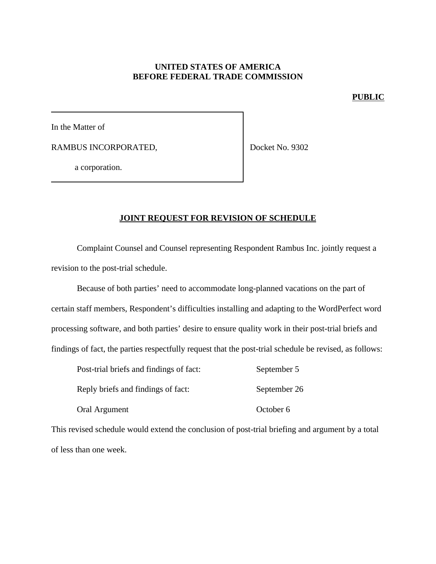## **UNITED STATES OF AMERICA BEFORE FEDERAL TRADE COMMISSION**

#### **PUBLIC**

In the Matter of

RAMBUS INCORPORATED,

Docket No. 9302

a corporation.

# **JOINT REQUEST FOR REVISION OF SCHEDULE**

Complaint Counsel and Counsel representing Respondent Rambus Inc. jointly request a revision to the post-trial schedule.

Because of both parties' need to accommodate long-planned vacations on the part of certain staff members, Respondent's difficulties installing and adapting to the WordPerfect word processing software, and both parties' desire to ensure quality work in their post-trial briefs and findings of fact, the parties respectfully request that the post-trial schedule be revised, as follows:

| Post-trial briefs and findings of fact: | September 5  |
|-----------------------------------------|--------------|
| Reply briefs and findings of fact:      | September 26 |
| Oral Argument                           | October 6    |

This revised schedule would extend the conclusion of post-trial briefing and argument by a total of less than one week.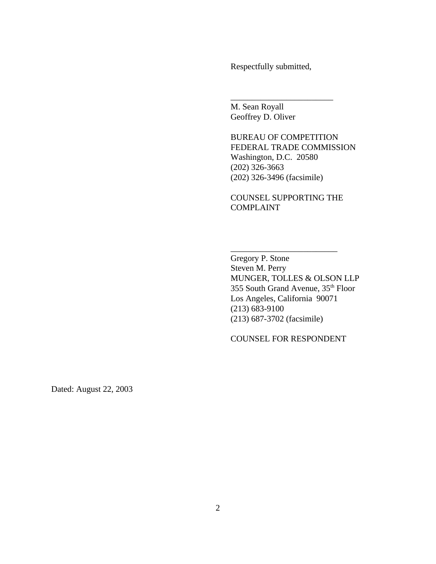Respectfully submitted,

\_\_\_\_\_\_\_\_\_\_\_\_\_\_\_\_\_\_\_\_\_\_\_\_

M. Sean Royall Geoffrey D. Oliver

BUREAU OF COMPETITION FEDERAL TRADE COMMISSION Washington, D.C. 20580 (202) 326-3663 (202) 326-3496 (facsimile)

COUNSEL SUPPORTING THE COMPLAINT

\_\_\_\_\_\_\_\_\_\_\_\_\_\_\_\_\_\_\_\_\_\_\_\_\_

Gregory P. Stone Steven M. Perry MUNGER, TOLLES & OLSON LLP 355 South Grand Avenue, 35th Floor Los Angeles, California 90071 (213) 683-9100 (213) 687-3702 (facsimile)

COUNSEL FOR RESPONDENT

Dated: August 22, 2003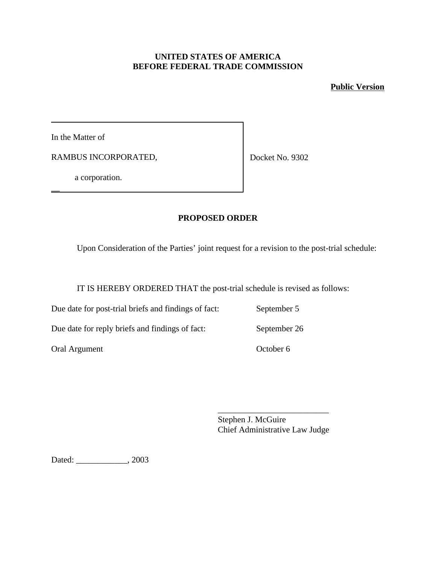## **UNITED STATES OF AMERICA BEFORE FEDERAL TRADE COMMISSION**

# **Public Version**

In the Matter of

\_\_

RAMBUS INCORPORATED,

Docket No. 9302

a corporation.

# **PROPOSED ORDER**

Upon Consideration of the Parties' joint request for a revision to the post-trial schedule:

IT IS HEREBY ORDERED THAT the post-trial schedule is revised as follows:

Due date for post-trial briefs and findings of fact: September 5 Due date for reply briefs and findings of fact: September 26

Oral Argument Coroler 6

Stephen J. McGuire Chief Administrative Law Judge

\_\_\_\_\_\_\_\_\_\_\_\_\_\_\_\_\_\_\_\_\_\_\_\_\_\_

Dated: \_\_\_\_\_\_\_\_\_\_\_\_, 2003